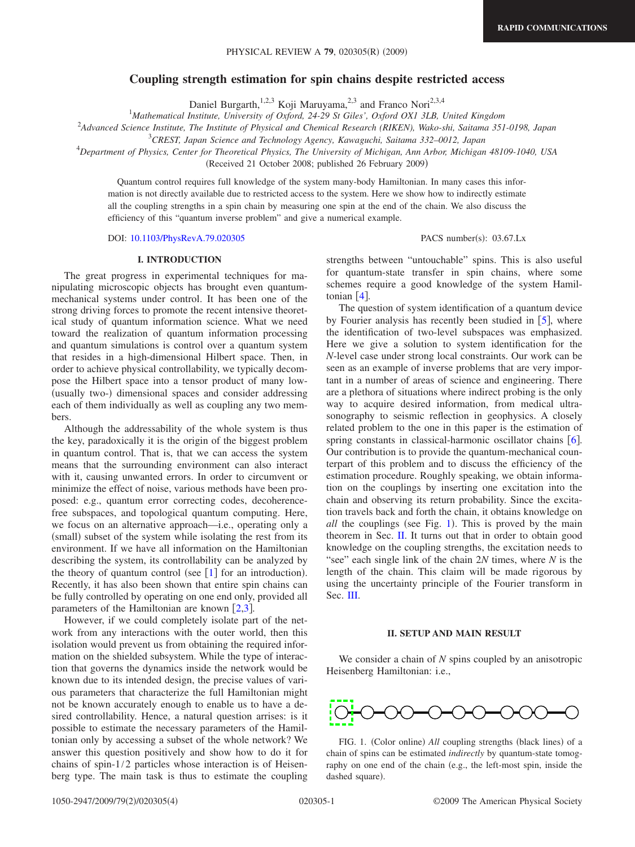# **Coupling strength estimation for spin chains despite restricted access**

Daniel Burgarth,<sup>1,2,3</sup> Koji Maruyama,<sup>2,3</sup> and Franco Nori<sup>2,3,4</sup>

1 *Mathematical Institute, University of Oxford, 24-29 St Giles', Oxford OX1 3LB, United Kingdom*

2 *Advanced Science Institute, The Institute of Physical and Chemical Research (RIKEN), Wako-shi, Saitama 351-0198, Japan*

3 *CREST, Japan Science and Technology Agency, Kawaguchi, Saitama 332–0012, Japan*

4 *Department of Physics, Center for Theoretical Physics, The University of Michigan, Ann Arbor, Michigan 48109-1040, USA*

(Received 21 October 2008; published 26 February 2009)

Quantum control requires full knowledge of the system many-body Hamiltonian. In many cases this information is not directly available due to restricted access to the system. Here we show how to indirectly estimate all the coupling strengths in a spin chain by measuring one spin at the end of the chain. We also discuss the efficiency of this "quantum inverse problem" and give a numerical example.

DOI: [10.1103/PhysRevA.79.020305](http://dx.doi.org/10.1103/PhysRevA.79.020305)

PACS number(s): 03.67.Lx

#### **I. INTRODUCTION**

The great progress in experimental techniques for manipulating microscopic objects has brought even quantummechanical systems under control. It has been one of the strong driving forces to promote the recent intensive theoretical study of quantum information science. What we need toward the realization of quantum information processing and quantum simulations is control over a quantum system that resides in a high-dimensional Hilbert space. Then, in order to achieve physical controllability, we typically decompose the Hilbert space into a tensor product of many low- (usually two-) dimensional spaces and consider addressing each of them individually as well as coupling any two members.

Although the addressability of the whole system is thus the key, paradoxically it is the origin of the biggest problem in quantum control. That is, that we can access the system means that the surrounding environment can also interact with it, causing unwanted errors. In order to circumvent or minimize the effect of noise, various methods have been proposed: e.g., quantum error correcting codes, decoherencefree subspaces, and topological quantum computing. Here, we focus on an alternative approach—i.e., operating only a (small) subset of the system while isolating the rest from its environment. If we have all information on the Hamiltonian describing the system, its controllability can be analyzed by the theory of quantum control (see  $[1]$  $[1]$  $[1]$  for an introduction). Recently, it has also been shown that entire spin chains can be fully controlled by operating on one end only, provided all parameters of the Hamiltonian are known  $[2,3]$  $[2,3]$  $[2,3]$  $[2,3]$ .

However, if we could completely isolate part of the network from any interactions with the outer world, then this isolation would prevent us from obtaining the required information on the shielded subsystem. While the type of interaction that governs the dynamics inside the network would be known due to its intended design, the precise values of various parameters that characterize the full Hamiltonian might not be known accurately enough to enable us to have a desired controllability. Hence, a natural question arrises: is it possible to estimate the necessary parameters of the Hamiltonian only by accessing a subset of the whole network? We answer this question positively and show how to do it for chains of spin-1/2 particles whose interaction is of Heisenberg type. The main task is thus to estimate the coupling strengths between "untouchable" spins. This is also useful for quantum-state transfer in spin chains, where some schemes require a good knowledge of the system Hamiltonian  $\lceil 4 \rceil$  $\lceil 4 \rceil$  $\lceil 4 \rceil$ .

The question of system identification of a quantum device by Fourier analysis has recently been studied in  $[5]$  $[5]$  $[5]$ , where the identification of two-level subspaces was emphasized. Here we give a solution to system identification for the *N*-level case under strong local constraints. Our work can be seen as an example of inverse problems that are very important in a number of areas of science and engineering. There are a plethora of situations where indirect probing is the only way to acquire desired information, from medical ultrasonography to seismic reflection in geophysics. A closely related problem to the one in this paper is the estimation of spring constants in classical-harmonic oscillator chains  $[6]$  $[6]$  $[6]$ . Our contribution is to provide the quantum-mechanical counterpart of this problem and to discuss the efficiency of the estimation procedure. Roughly speaking, we obtain information on the couplings by inserting one excitation into the chain and observing its return probability. Since the excitation travels back and forth the chain, it obtains knowledge on all the couplings (see Fig. [1](#page-0-0)). This is proved by the main theorem in Sec. [II.](#page-0-1) It turns out that in order to obtain good knowledge on the coupling strengths, the excitation needs to "see" each single link of the chain 2*N* times, where *N* is the length of the chain. This claim will be made rigorous by using the uncertainty principle of the Fourier transform in Sec. [III.](#page-1-0)

### **II. SETUP AND MAIN RESULT**

<span id="page-0-1"></span>We consider a chain of *N* spins coupled by an anisotropic Heisenberg Hamiltonian: i.e.,



<span id="page-0-0"></span>FIG. 1. (Color online) All coupling strengths (black lines) of a chain of spins can be estimated *indirectly* by quantum-state tomography on one end of the chain (e.g., the left-most spin, inside the dashed square).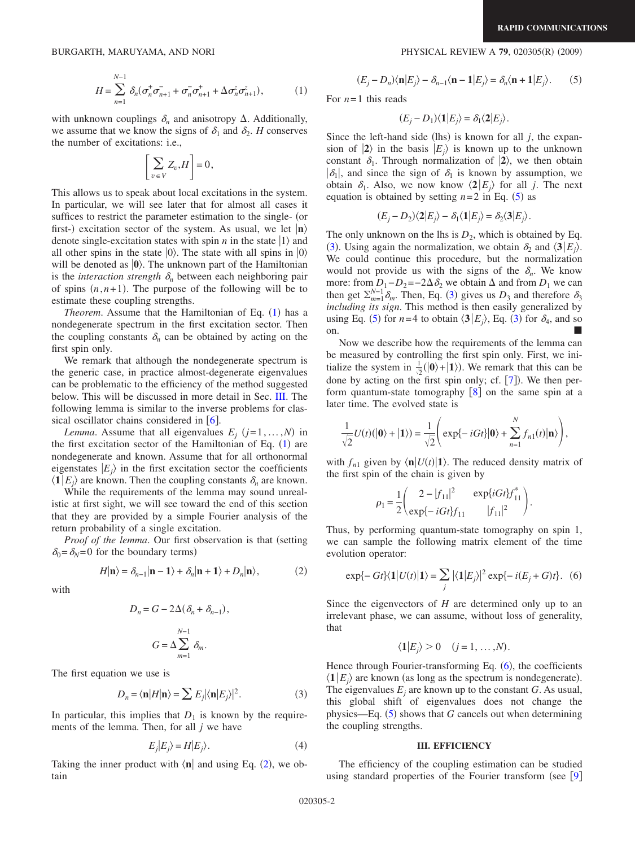$$
H = \sum_{n=1}^{N-1} \delta_n (\sigma_n^+ \sigma_{n+1}^- + \sigma_n^- \sigma_{n+1}^+ + \Delta \sigma_n^z \sigma_{n+1}^z), \tag{1}
$$

<span id="page-1-1"></span>with unknown couplings  $\delta_n$  and anisotropy  $\Delta$ . Additionally, we assume that we know the signs of  $\delta_1$  and  $\delta_2$ . *H* conserves the number of excitations: i.e.,

$$
\left[\sum_{v \in V} Z_v, H\right] = 0,
$$

This allows us to speak about local excitations in the system. In particular, we will see later that for almost all cases it suffices to restrict the parameter estimation to the single- (or first-) excitation sector of the system. As usual, we let  $|n\rangle$ denote single-excitation states with spin *n* in the state  $|1\rangle$  and all other spins in the state  $|0\rangle$ . The state with all spins in  $|0\rangle$ will be denoted as  $|0\rangle$ . The unknown part of the Hamiltonian is the *interaction strength*  $\delta_n$  between each neighboring pair of spins  $(n, n+1)$ . The purpose of the following will be to estimate these coupling strengths.

*Theorem.* Assume that the Hamiltonian of Eq.  $(1)$  $(1)$  $(1)$  has a nondegenerate spectrum in the first excitation sector. Then the coupling constants  $\delta_n$  can be obtained by acting on the first spin only.

We remark that although the nondegenerate spectrum is the generic case, in practice almost-degenerate eigenvalues can be problematic to the efficiency of the method suggested below. This will be discussed in more detail in Sec. [III.](#page-1-0) The following lemma is similar to the inverse problems for classical oscillator chains considered in  $[6]$  $[6]$  $[6]$ .

*Lemma*. Assume that all eigenvalues  $E_j$   $(j=1,...,N)$  in the first excitation sector of the Hamiltonian of Eq.  $(1)$  $(1)$  $(1)$  are nondegenerate and known. Assume that for all orthonormal eigenstates  $|E_i\rangle$  in the first excitation sector the coefficients  $\langle 1 | E_j \rangle$  are known. Then the coupling constants  $\delta_n$  are known.

While the requirements of the lemma may sound unrealistic at first sight, we will see toward the end of this section that they are provided by a simple Fourier analysis of the return probability of a single excitation.

*Proof of the lemma*. Our first observation is that (setting  $\delta_0 = \delta_N = 0$  for the boundary terms)

$$
H|\mathbf{n}\rangle = \delta_{n-1}|\mathbf{n} - \mathbf{1}\rangle + \delta_n|\mathbf{n} + \mathbf{1}\rangle + D_n|\mathbf{n}\rangle,\tag{2}
$$

<span id="page-1-2"></span>with

$$
D_n = G - 2\Delta(\delta_n + \delta_{n-1}),
$$
  

$$
G = \Delta \sum_{m=1}^{N-1} \delta_m.
$$

The first equation we use is

$$
D_n = \langle \mathbf{n} | H | \mathbf{n} \rangle = \sum E_j | \langle \mathbf{n} | E_j \rangle |^2.
$$
 (3)

<span id="page-1-4"></span>In particular, this implies that  $D_1$  is known by the requirements of the lemma. Then, for all *j* we have

$$
E_j|E_j\rangle = H|E_j\rangle.
$$
 (4)

Taking the inner product with  $\langle n |$  and using Eq. ([2](#page-1-2)), we obtain

# $(2009)$

$$
(E_j - D_n)\langle \mathbf{n}|E_j\rangle - \delta_{n-1}\langle \mathbf{n} - \mathbf{1}|E_j\rangle = \delta_n\langle \mathbf{n} + \mathbf{1}|E_j\rangle. \tag{5}
$$

<span id="page-1-3"></span>For  $n=1$  this reads

$$
(E_j - D_1) \langle \mathbf{1} | E_j \rangle = \delta_1 \langle \mathbf{2} | E_j \rangle.
$$

Since the left-hand side (lhs) is known for all  $j$ , the expansion of  $|2\rangle$  in the basis  $|E_i\rangle$  is known up to the unknown constant  $\delta_1$ . Through normalization of  $|2\rangle$ , we then obtain  $|\delta_1|$ , and since the sign of  $\delta_1$  is known by assumption, we obtain  $\delta_1$ . Also, we now know  $\langle 2 | E_j \rangle$  for all *j*. The next equation is obtained by setting  $n=2$  in Eq. ([5](#page-1-3)) as

$$
(E_j - D_2)\langle 2|E_j \rangle - \delta_1 \langle 1|E_j \rangle = \delta_2 \langle 3|E_j \rangle.
$$

The only unknown on the lhs is  $D_2$ , which is obtained by Eq. ([3](#page-1-4)). Using again the normalization, we obtain  $\delta_2$  and  $\langle 3 | E_j \rangle$ . We could continue this procedure, but the normalization would not provide us with the signs of the  $\delta_n$ . We know more: from  $D_1 - D_2 = -2\Delta \delta_2$  we obtain  $\Delta$  and from  $D_1$  we can then get  $\sum_{m=1}^{N-1} \delta_m$ . Then, Eq. ([3](#page-1-4)) gives us  $D_3$  and therefore  $\delta_3$ *including its sign*. This method is then easily generalized by using Eq. ([5](#page-1-3)) for  $n=4$  to obtain  $\langle 3 | E_j \rangle$  $\langle 3 | E_j \rangle$  $\langle 3 | E_j \rangle$ , Eq. (3) for  $\delta_4$ , and so on.

Now we describe how the requirements of the lemma can be measured by controlling the first spin only. First, we initialize the system in  $\frac{1}{2}(|0\rangle + |1\rangle)$ . We remark that this can be done by acting on the first spin only; cf.  $[7]$  $[7]$  $[7]$ ). We then perform quantum-state tomography  $[8]$  $[8]$  $[8]$  on the same spin at a later time. The evolved state is

$$
\frac{1}{\sqrt{2}}U(t)(|\mathbf{0}\rangle+|\mathbf{1}\rangle)=\frac{1}{\sqrt{2}}\left(\exp\{-iGt\}|\mathbf{0}\rangle+\sum_{n=1}^N f_{n1}(t)|\mathbf{n}\rangle\right),\,
$$

with  $f_{n1}$  given by  $\langle \mathbf{n} | U(t) | \mathbf{1} \rangle$ . The reduced density matrix of the first spin of the chain is given by

$$
\rho_1 = \frac{1}{2} \begin{pmatrix} 2 - |f_{11}|^2 & \exp\{iGt\}f_{11}^* \\ \exp\{-iGt\}f_{11} & |f_{11}|^2 \end{pmatrix}.
$$

Thus, by performing quantum-state tomography on spin 1, we can sample the following matrix element of the time evolution operator:

$$
\exp{-Gt}\langle 1|U(t)|1\rangle = \sum_{j} |\langle 1|E_{j}\rangle|^{2} \exp{-i(E_{j}+G)t}.\tag{6}
$$

<span id="page-1-5"></span>Since the eigenvectors of *H* are determined only up to an irrelevant phase, we can assume, without loss of generality, that

$$
\langle \mathbf{1}|E_j\rangle > 0 \quad (j = 1, \dots, N).
$$

Hence through Fourier-transforming Eq. ([6](#page-1-5)), the coefficients  $\langle 1 | E_j \rangle$  are known (as long as the spectrum is nondegenerate). The eigenvalues  $E_i$  are known up to the constant  $G$ . As usual, this global shift of eigenvalues does not change the physics—Eq. ([5](#page-1-3)) shows that *G* cancels out when determining the coupling strengths.

## **III. EFFICIENCY**

<span id="page-1-0"></span>The efficiency of the coupling estimation can be studied using standard properties of the Fourier transform (see  $[9]$  $[9]$  $[9]$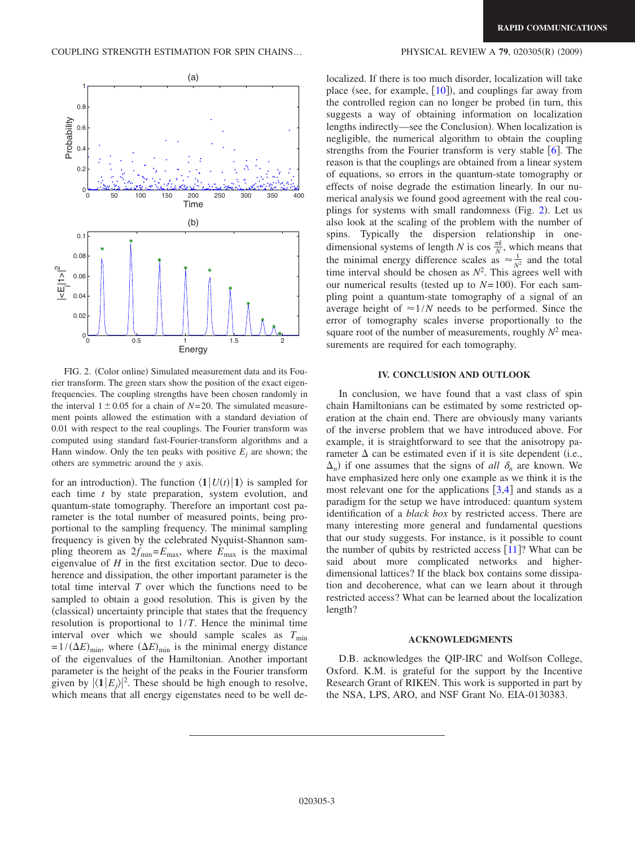<span id="page-2-0"></span>

FIG. 2. (Color online) Simulated measurement data and its Fourier transform. The green stars show the position of the exact eigenfrequencies. The coupling strengths have been chosen randomly in the interval  $1 \pm 0.05$  for a chain of *N*=20. The simulated measurement points allowed the estimation with a standard deviation of 0.01 with respect to the real couplings. The Fourier transform was computed using standard fast-Fourier-transform algorithms and a Hann window. Only the ten peaks with positive  $E_i$  are shown; the others are symmetric around the *y* axis.

for an introduction). The function  $\langle \mathbf{1} | U(t) | \mathbf{1} \rangle$  is sampled for each time *t* by state preparation, system evolution, and quantum-state tomography. Therefore an important cost parameter is the total number of measured points, being proportional to the sampling frequency. The minimal sampling frequency is given by the celebrated Nyquist-Shannon sampling theorem as  $2f_{\text{min}}=E_{\text{max}}$ , where  $E_{\text{max}}$  is the maximal eigenvalue of *H* in the first excitation sector. Due to decoherence and dissipation, the other important parameter is the total time interval *T* over which the functions need to be sampled to obtain a good resolution. This is given by the (classical) uncertainty principle that states that the frequency resolution is proportional to 1/*T*. Hence the minimal time interval over which we should sample scales as  $T_{\text{min}}$  $= 1/( \Delta E)_{\text{min}}$ , where  $( \Delta E)_{\text{min}}$  is the minimal energy distance of the eigenvalues of the Hamiltonian. Another important parameter is the height of the peaks in the Fourier transform given by  $|\langle 1 | E_j \rangle|^2$ . These should be high enough to resolve, which means that all energy eigenstates need to be well de-

### $(2009)$

localized. If there is too much disorder, localization will take place (see, for example,  $[10]$  $[10]$  $[10]$ ), and couplings far away from the controlled region can no longer be probed (in turn, this suggests a way of obtaining information on localization lengths indirectly—see the Conclusion). When localization is negligible, the numerical algorithm to obtain the coupling strengths from the Fourier transform is very stable  $\lceil 6 \rceil$  $\lceil 6 \rceil$  $\lceil 6 \rceil$ . The reason is that the couplings are obtained from a linear system of equations, so errors in the quantum-state tomography or effects of noise degrade the estimation linearly. In our numerical analysis we found good agreement with the real cou-plings for systems with small randomness (Fig. [2](#page-2-0)). Let us also look at the scaling of the problem with the number of spins. Typically the dispersion relationship in onedimensional systems of length *N* is cos  $\frac{\pi k}{N}$ , which means that the minimal energy difference scales as  $\approx \frac{1}{N^2}$  and the total time interval should be chosen as  $N^2$ . This agrees well with our numerical results (tested up to  $N=100$ ). For each sampling point a quantum-state tomography of a signal of an average height of  $\approx 1/N$  needs to be performed. Since the error of tomography scales inverse proportionally to the square root of the number of measurements, roughly  $N^2$  measurements are required for each tomography.

## **IV. CONCLUSION AND OUTLOOK**

In conclusion, we have found that a vast class of spin chain Hamiltonians can be estimated by some restricted operation at the chain end. There are obviously many variants of the inverse problem that we have introduced above. For example, it is straightforward to see that the anisotropy parameter  $\Delta$  can be estimated even if it is site dependent (i.e.,  $\Delta_n$ ) if one assumes that the signs of *all*  $\delta_n$  are known. We have emphasized here only one example as we think it is the most relevant one for the applications  $\lceil 3,4 \rceil$  $\lceil 3,4 \rceil$  $\lceil 3,4 \rceil$  $\lceil 3,4 \rceil$  and stands as a paradigm for the setup we have introduced: quantum system identification of a *black box* by restricted access. There are many interesting more general and fundamental questions that our study suggests. For instance, is it possible to count the number of qubits by restricted access  $[11]$  $[11]$  $[11]$ ? What can be said about more complicated networks and higherdimensional lattices? If the black box contains some dissipation and decoherence, what can we learn about it through restricted access? What can be learned about the localization length?

# **ACKNOWLEDGMENTS**

D.B. acknowledges the QIP-IRC and Wolfson College, Oxford. K.M. is grateful for the support by the Incentive Research Grant of RIKEN. This work is supported in part by the NSA, LPS, ARO, and NSF Grant No. EIA-0130383.